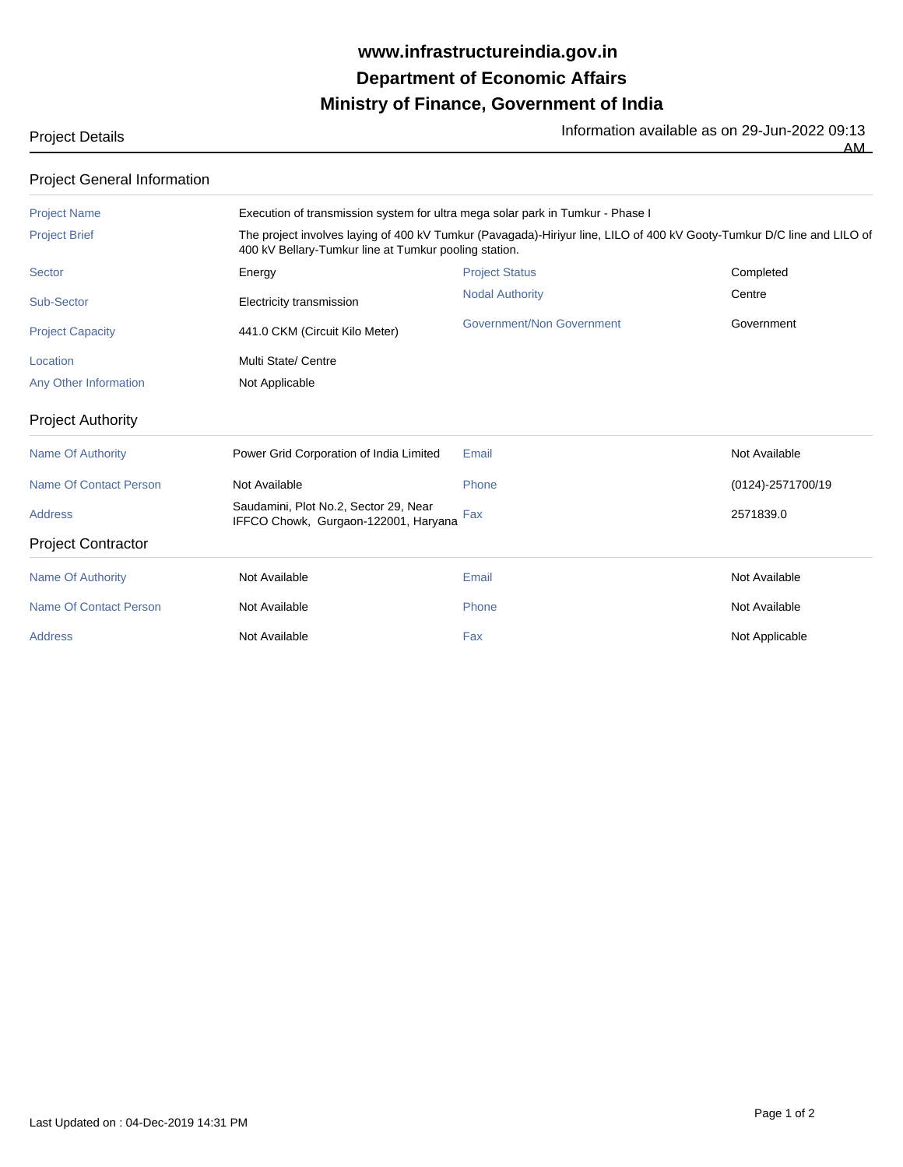## **Ministry of Finance, Government of India Department of Economic Affairs www.infrastructureindia.gov.in**

Project Details **Information available as on 29-Jun-2022** 09:13

| <b>Project Name</b>     |                                                                                                                                                                                 | Execution of transmission system for ultra mega solar park in Tumkur - Phase I |            |  |  |
|-------------------------|---------------------------------------------------------------------------------------------------------------------------------------------------------------------------------|--------------------------------------------------------------------------------|------------|--|--|
| <b>Project Brief</b>    | The project involves laying of 400 kV Tumkur (Pavagada)-Hiriyur line, LILO of 400 kV Gooty-Tumkur D/C line and LILO of<br>400 kV Bellary-Tumkur line at Tumkur pooling station. |                                                                                |            |  |  |
| Sector                  | Energy                                                                                                                                                                          | <b>Project Status</b>                                                          | Completed  |  |  |
| Sub-Sector              | Electricity transmission                                                                                                                                                        | <b>Nodal Authority</b>                                                         | Centre     |  |  |
| <b>Project Capacity</b> | 441.0 CKM (Circuit Kilo Meter)                                                                                                                                                  | Government/Non Government                                                      | Government |  |  |
| Location                | Multi State/ Centre                                                                                                                                                             |                                                                                |            |  |  |
| Any Other Information   | Not Applicable                                                                                                                                                                  |                                                                                |            |  |  |

Project Authority

| Name Of Authority         | Power Grid Corporation of India Limited                                       | Email | Not Available     |
|---------------------------|-------------------------------------------------------------------------------|-------|-------------------|
| Name Of Contact Person    | Not Available                                                                 | Phone | (0124)-2571700/19 |
| <b>Address</b>            | Saudamini, Plot No.2, Sector 29, Near<br>IFFCO Chowk, Gurgaon-122001, Haryana | Fax   | 2571839.0         |
| <b>Project Contractor</b> |                                                                               |       |                   |
| Name Of Authority         | Not Available                                                                 | Email | Not Available     |
| Name Of Contact Person    | Not Available                                                                 | Phone | Not Available     |
| <b>Address</b>            | Not Available                                                                 | Fax   | Not Applicable    |
|                           |                                                                               |       |                   |